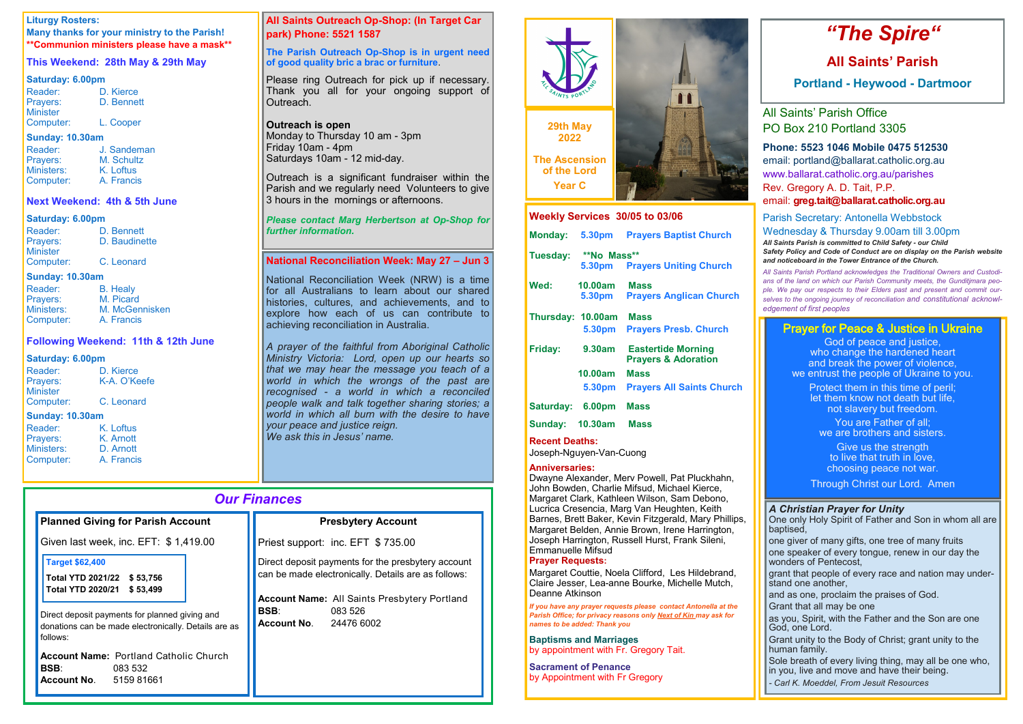# *Our Finances*

| <b>Planned Giving for Parish Account</b>                                                                           | <b>Presbytery Account</b>                                                                                         |
|--------------------------------------------------------------------------------------------------------------------|-------------------------------------------------------------------------------------------------------------------|
| Given last week, inc. EFT: \$1,419.00                                                                              | Priest support: inc. EFT \$735.00                                                                                 |
| <b>Target \$62,400</b><br>Total YTD 2021/22 \$53,756<br><b>Total YTD 2020/21</b><br>\$53,499                       | Direct deposit payments for the presbytery account<br>can be made electronically. Details are as follows:         |
| Direct deposit payments for planned giving and<br>donations can be made electronically. Details are as<br>follows: | <b>Account Name:</b> All Saints Presbytery Portland<br><b>BSB:</b><br>083 526<br><b>Account No.</b><br>24476 6002 |
| <b>Account Name: Portland Catholic Church</b><br><b>BSB:</b><br>083 532<br><b>Account No.</b><br>5159 81661        |                                                                                                                   |

| Reader:   | D. Bennett    |
|-----------|---------------|
| Prayers:  | D. Baudinette |
| Minister  |               |
| Computer: | C. Leonard    |

### **Liturgy Rosters:**

**Many thanks for your ministry to the Parish! \*\*Communion ministers please have a mask\*\***

# **This Weekend: 28th May & 29th May**

### **Saturday: 6.00pm**

| Reader:         | D. Kierce  |
|-----------------|------------|
| Prayers:        | D. Bennett |
| <b>Minister</b> |            |
| Computer:       | L. Cooper  |

#### **Sunday: 10.30am**

Outreach is a significant fundraiser within the Parish and we regularly need Volunteers to give 3 hours in the mornings or afternoons.

| J. Sandeman |
|-------------|
| M. Schultz  |
| K. Loftus   |
| A. Francis  |
|             |

### **Next Weekend: 4th & 5th June**

#### **Saturday: 6.00pm**

### **Sunday: 10.30am**

| Reader:         | <b>B.</b> Healy |
|-----------------|-----------------|
| <b>Prayers:</b> | M. Picard       |
| Ministers:      | M. McGennisken  |
| Computer:       | A. Francis      |

### **Following Weekend: 11th & 12th June**

K. Loftus K. Arnott D. Arnott A. Francis

### **Saturday: 6.00pm**

| Reader:         | D. Kierce    |  |
|-----------------|--------------|--|
| <b>Prayers:</b> | K-A. O'Keefe |  |
| <b>Minister</b> |              |  |
| Computer:       | C. Leonard   |  |
| Sunday: 10 30am |              |  |

### **Sunday: 10.30am**

| Reader:    |  |
|------------|--|
| Prayers:   |  |
| Ministers: |  |
| Computer:  |  |
|            |  |

# **All Saints Outreach Op-Shop: (In Target Car park) Phone: 5521 1587**

### **The Parish Outreach Op-Shop is in urgent need of good quality bric a brac or furniture**.

Please ring Outreach for pick up if necessary. Thank you all for your ongoing support of Outreach.

### **Outreach is open**

Monday to Thursday 10 am - 3pm Friday 10am - 4pm Saturdays 10am - 12 mid-day.

### *Please contact Marg Herbertson at Op-Shop for further information.*

### **National Reconciliation Week: May 27 – Jun 3**

National Reconciliation Week (NRW) is a time for all Australians to learn about our shared histories, cultures, and achievements, and to explore how each of us can contribute to achieving reconciliation in Australia.

*A prayer of the faithful from Aboriginal Catholic Ministry Victoria: Lord, open up our hearts so that we may hear the message you teach of a world in which the wrongs of the past are recognised - a world in which a reconciled people walk and talk together sharing stories; a world in which all burn with the desire to have your peace and justice reign. We ask this in Jesus' name.*

> I grant that people of every race and nation may understand one another,

# *"The Spire"*

# **All Saints' Parish**

**Portland - Heywood - Dartmoor**

All Saints' Parish Office PO Box 210 Portland 3305

# **Phone: 5523 1046 Mobile 0475 512530**

God of peace and justice. who change the hardened heart and break the power of violence, we entrust the people of Ukraine to you.

email: portland@ballarat.catholic.org.au www.ballarat.catholic.org.au/parishes Rev. Gregory A. D. Tait, P.P.

email: **greg.tait@ballarat.catholic.org.au**

# Parish Secretary: Antonella Webbstock Wednesday & Thursday 9.00am till 3.00pm

*All Saints Parish is committed to Child Safety - our Child Safety Policy and Code of Conduct are on display on the Parish website and noticeboard in the Tower Entrance of the Church.*

*All Saints Parish Portland acknowledges the Traditional Owners and Custodians of the land on which our Parish Community meets, the Gunditjmara people. We pay our respects to their Elders past and present and commit ourselves to the ongoing journey of reconciliation and constitutional acknowledgement of first peoples*

**Weekly Services 30/05 to 03/06**

|   |          | A                         |  |
|---|----------|---------------------------|--|
|   | 躁        | <b>A</b><br>ᡤ             |  |
| t | \$<br>95 | ╌<br>п<br>a n<br>T<br>┳   |  |
|   | TT<br>m  | 77 T 17 T<br><b>PHILI</b> |  |

| Monday: 5.30pm |                    | <b>Prayers Baptist Church</b> |
|----------------|--------------------|-------------------------------|
| Tuesday:       | <b>**No Mass**</b> |                               |
|                |                    | 5.30pm Prayers Uniting Church |

| Wed:              | <b>10.00am</b><br>5.30pm                         | <b>Mass</b><br><b>Prayers Anglican Church</b>               |
|-------------------|--------------------------------------------------|-------------------------------------------------------------|
| Thursday: 10.00am | <b>5.30pm</b>                                    | <b>Mass</b><br><b>Prayers Presb. Church</b>                 |
| Friday:           | 9.30am                                           | <b>Eastertide Morning</b><br><b>Prayers &amp; Adoration</b> |
|                   | 10.00am                                          | <b>Mass</b>                                                 |
|                   | 5.30pm                                           | <b>Prayers All Saints Church</b>                            |
| Saturday:         | 6.00pm                                           | <b>Mass</b>                                                 |
|                   | $\bullet$ is in $\bullet$ $\bullet$ if $\bullet$ |                                                             |

**Sunday: 10.30am Mass** 

**Recent Deaths:** 

Joseph-Nguyen-Van-Cuong

### **Anniversaries:**

Dwayne Alexander, Merv Powell, Pat Pluckhahn, John Bowden, Charlie Mifsud, Michael Kierce, Margaret Clark, Kathleen Wilson, Sam Debono, Lucrica Cresencia, Marg Van Heughten, Keith Barnes, Brett Baker, Kevin Fitzgerald, Mary Phillips, Margaret Belden, Annie Brown, Irene Harrington, Joseph Harrington, Russell Hurst, Frank Sileni, Emmanuelle Mifsud

### **Prayer Requests:**

Margaret Couttie, Noela Clifford, Les Hildebrand, Claire Jesser, Lea-anne Bourke, Michelle Mutch, Deanne Atkinson

*If you have any prayer requests please contact Antonella at the Parish Office; for privacy reasons only Next of Kin may ask for names to be added: Thank you*

**Baptisms and Marriages**  by appointment with Fr. Gregory Tait.

**Sacrament of Penance**  by Appointment with Fr Gregory



# *A Christian Prayer for Unity*

One only Holy Spirit of Father and Son in whom all are baptised,

one giver of many gifts, one tree of many fruits

one speaker of every tongue, renew in our day the wonders of Pentecost,

and as one, proclaim the praises of God.

Grant that all may be one

as you, Spirit, with the Father and the Son are one God, one Lord.

Grant unity to the Body of Christ; grant unity to the human family.

Sole breath of every living thing, may all be one who, in you, live and move and have their being.

*- Carl K. Moeddel, From Jesuit Resources*

# Prayer for Peace & Justice in Ukraine

Protect them in this time of peril; let them know not death but life, not slavery but freedom.

You are Father of all; we are brothers and sisters.

Give us the strength to live that truth in love, choosing peace not war.

Through Christ our Lord. Amen